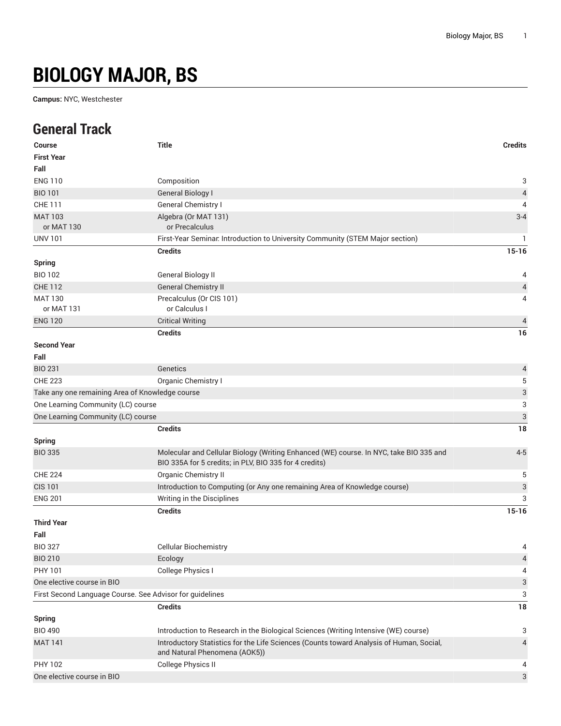# **BIOLOGY MAJOR, BS**

**Campus:** NYC, Westchester

#### **General Track**

| <b>Course</b>                                            | <b>Title</b>                                                                                                                                     | <b>Credits</b>            |
|----------------------------------------------------------|--------------------------------------------------------------------------------------------------------------------------------------------------|---------------------------|
| <b>First Year</b>                                        |                                                                                                                                                  |                           |
| Fall                                                     |                                                                                                                                                  |                           |
| <b>ENG 110</b>                                           | Composition                                                                                                                                      | 3                         |
| <b>BIO 101</b>                                           | <b>General Biology I</b>                                                                                                                         | $\sqrt{4}$                |
| CHE 111                                                  | General Chemistry I                                                                                                                              | 4                         |
| <b>MAT 103</b>                                           | Algebra (Or MAT 131)                                                                                                                             | $3 - 4$                   |
| or MAT 130                                               | or Precalculus                                                                                                                                   |                           |
| <b>UNV 101</b>                                           | First-Year Seminar. Introduction to University Community (STEM Major section)                                                                    | 1                         |
|                                                          | <b>Credits</b>                                                                                                                                   | $15 - 16$                 |
| <b>Spring</b>                                            |                                                                                                                                                  |                           |
| <b>BIO 102</b>                                           | General Biology II                                                                                                                               | 4                         |
| <b>CHE 112</b>                                           | <b>General Chemistry II</b>                                                                                                                      | 4                         |
| <b>MAT 130</b>                                           | Precalculus (Or CIS 101)                                                                                                                         | 4                         |
| or MAT 131                                               | or Calculus I                                                                                                                                    |                           |
| <b>ENG 120</b>                                           | <b>Critical Writing</b>                                                                                                                          | $\overline{4}$            |
|                                                          | <b>Credits</b>                                                                                                                                   | 16                        |
| <b>Second Year</b>                                       |                                                                                                                                                  |                           |
| Fall                                                     |                                                                                                                                                  |                           |
| <b>BIO 231</b>                                           | Genetics                                                                                                                                         | 4                         |
| <b>CHE 223</b>                                           | Organic Chemistry I                                                                                                                              | 5                         |
| Take any one remaining Area of Knowledge course          |                                                                                                                                                  | 3                         |
| One Learning Community (LC) course                       |                                                                                                                                                  | 3                         |
| One Learning Community (LC) course                       |                                                                                                                                                  | $\sqrt{3}$                |
|                                                          | <b>Credits</b>                                                                                                                                   | 18                        |
| <b>Spring</b>                                            |                                                                                                                                                  |                           |
| <b>BIO 335</b>                                           | Molecular and Cellular Biology (Writing Enhanced (WE) course. In NYC, take BIO 335 and<br>BIO 335A for 5 credits; in PLV, BIO 335 for 4 credits) | $4 - 5$                   |
| <b>CHE 224</b>                                           | <b>Organic Chemistry II</b>                                                                                                                      | 5                         |
| <b>CIS 101</b>                                           | Introduction to Computing (or Any one remaining Area of Knowledge course)                                                                        | $\ensuremath{\mathsf{3}}$ |
| <b>ENG 201</b>                                           | Writing in the Disciplines                                                                                                                       | 3                         |
|                                                          | <b>Credits</b>                                                                                                                                   | $15 - 16$                 |
| <b>Third Year</b>                                        |                                                                                                                                                  |                           |
| Fall                                                     |                                                                                                                                                  |                           |
| <b>BIO 327</b>                                           | <b>Cellular Biochemistry</b>                                                                                                                     | 4                         |
| <b>BIO 210</b>                                           | Ecology                                                                                                                                          | $\overline{a}$            |
| PHY 101                                                  | College Physics I                                                                                                                                | 4                         |
| One elective course in BIO                               |                                                                                                                                                  | $\ensuremath{\mathsf{3}}$ |
| First Second Language Course. See Advisor for guidelines |                                                                                                                                                  | 3                         |
|                                                          | <b>Credits</b>                                                                                                                                   | $18\,$                    |
| <b>Spring</b>                                            |                                                                                                                                                  |                           |
| <b>BIO 490</b>                                           | Introduction to Research in the Biological Sciences (Writing Intensive (WE) course)                                                              | 3                         |
| <b>MAT 141</b>                                           | Introductory Statistics for the Life Sciences (Counts toward Analysis of Human, Social,                                                          | 4                         |
|                                                          | and Natural Phenomena (AOK5))                                                                                                                    |                           |
| PHY 102                                                  | College Physics II                                                                                                                               | 4                         |
| One elective course in BIO                               |                                                                                                                                                  | 3                         |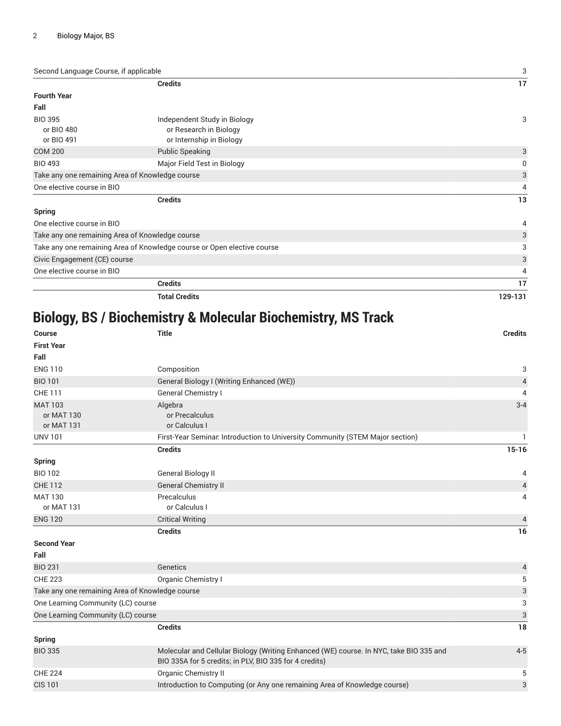Second Language Course, if applicable 3

|                                                                         | <b>Credits</b>                                                                     | 17      |
|-------------------------------------------------------------------------|------------------------------------------------------------------------------------|---------|
| <b>Fourth Year</b>                                                      |                                                                                    |         |
| Fall                                                                    |                                                                                    |         |
| <b>BIO 395</b><br>or BIO 480<br>or BIO 491                              | Independent Study in Biology<br>or Research in Biology<br>or Internship in Biology | 3       |
| <b>COM 200</b>                                                          | <b>Public Speaking</b>                                                             | 3       |
| <b>BIO 493</b>                                                          | Major Field Test in Biology                                                        | 0       |
|                                                                         | Take any one remaining Area of Knowledge course                                    | 3       |
| One elective course in BIO                                              |                                                                                    | 4       |
|                                                                         | <b>Credits</b>                                                                     | 13      |
| <b>Spring</b>                                                           |                                                                                    |         |
| One elective course in BIO                                              |                                                                                    | 4       |
| Take any one remaining Area of Knowledge course                         |                                                                                    | 3       |
| Take any one remaining Area of Knowledge course or Open elective course |                                                                                    | 3       |
| Civic Engagement (CE) course                                            |                                                                                    | 3       |
|                                                                         | One elective course in BIO                                                         |         |
|                                                                         | <b>Credits</b>                                                                     | 17      |
|                                                                         | <b>Total Credits</b>                                                               | 129-131 |

## **Biology, BS / Biochemistry & Molecular Biochemistry, MS Track**

| <b>Course</b>                                   | <b>Title</b>                                                                                                                                     | <b>Credits</b>            |
|-------------------------------------------------|--------------------------------------------------------------------------------------------------------------------------------------------------|---------------------------|
| <b>First Year</b>                               |                                                                                                                                                  |                           |
| Fall                                            |                                                                                                                                                  |                           |
| <b>ENG 110</b>                                  | Composition                                                                                                                                      | 3                         |
| <b>BIO 101</b>                                  | General Biology I (Writing Enhanced (WE))                                                                                                        | $\sqrt{4}$                |
| <b>CHE 111</b>                                  | <b>General Chemistry I</b>                                                                                                                       | 4                         |
| <b>MAT 103</b><br>or MAT 130<br>or MAT 131      | Algebra<br>or Precalculus<br>or Calculus I                                                                                                       | $3 - 4$                   |
| <b>UNV 101</b>                                  | First-Year Seminar Introduction to University Community (STEM Major section)                                                                     | 1.                        |
|                                                 | <b>Credits</b>                                                                                                                                   | $15 - 16$                 |
| <b>Spring</b>                                   |                                                                                                                                                  |                           |
| <b>BIO 102</b>                                  | <b>General Biology II</b>                                                                                                                        | 4                         |
| <b>CHE 112</b>                                  | <b>General Chemistry II</b>                                                                                                                      | $\overline{4}$            |
| <b>MAT 130</b><br>or MAT 131                    | Precalculus<br>or Calculus I                                                                                                                     | 4                         |
| <b>ENG 120</b>                                  | <b>Critical Writing</b>                                                                                                                          | $\overline{4}$            |
|                                                 | <b>Credits</b>                                                                                                                                   | 16                        |
| <b>Second Year</b>                              |                                                                                                                                                  |                           |
| Fall                                            |                                                                                                                                                  |                           |
| <b>BIO 231</b>                                  | Genetics                                                                                                                                         | 4                         |
| <b>CHE 223</b>                                  | Organic Chemistry I                                                                                                                              | $\,$ 5 $\,$               |
| Take any one remaining Area of Knowledge course |                                                                                                                                                  | $\ensuremath{\mathsf{3}}$ |
| One Learning Community (LC) course              |                                                                                                                                                  | 3                         |
| One Learning Community (LC) course              |                                                                                                                                                  | $\sqrt{3}$                |
|                                                 | <b>Credits</b>                                                                                                                                   | 18                        |
| <b>Spring</b>                                   |                                                                                                                                                  |                           |
| <b>BIO 335</b>                                  | Molecular and Cellular Biology (Writing Enhanced (WE) course. In NYC, take BIO 335 and<br>BIO 335A for 5 credits; in PLV, BIO 335 for 4 credits) | $4 - 5$                   |
| <b>CHE 224</b>                                  | Organic Chemistry II                                                                                                                             | 5                         |
| <b>CIS 101</b>                                  | Introduction to Computing (or Any one remaining Area of Knowledge course)                                                                        | 3                         |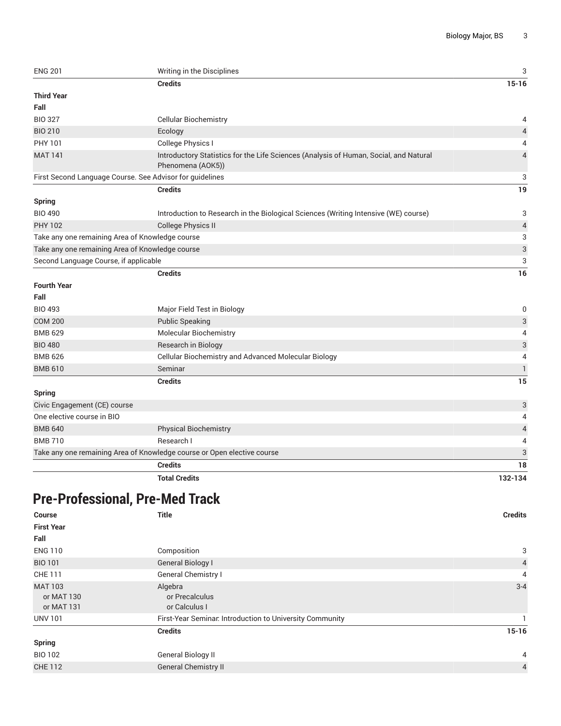| <b>ENG 201</b>                        | Writing in the Disciplines                                                                                 | 3                         |
|---------------------------------------|------------------------------------------------------------------------------------------------------------|---------------------------|
|                                       | <b>Credits</b>                                                                                             | $15 - 16$                 |
| <b>Third Year</b>                     |                                                                                                            |                           |
| Fall                                  |                                                                                                            |                           |
| <b>BIO 327</b>                        | <b>Cellular Biochemistry</b>                                                                               | 4                         |
| <b>BIO 210</b>                        | Ecology                                                                                                    | $\overline{4}$            |
| PHY 101                               | College Physics I                                                                                          | 4                         |
| <b>MAT 141</b>                        | Introductory Statistics for the Life Sciences (Analysis of Human, Social, and Natural<br>Phenomena (AOK5)) | 4                         |
|                                       | First Second Language Course. See Advisor for guidelines                                                   | 3                         |
|                                       | <b>Credits</b>                                                                                             | 19                        |
| <b>Spring</b>                         |                                                                                                            |                           |
| <b>BIO 490</b>                        | Introduction to Research in the Biological Sciences (Writing Intensive (WE) course)                        | 3                         |
| <b>PHY 102</b>                        | <b>College Physics II</b>                                                                                  | 4                         |
|                                       | Take any one remaining Area of Knowledge course                                                            | 3                         |
|                                       | Take any one remaining Area of Knowledge course                                                            | $\ensuremath{\mathsf{3}}$ |
| Second Language Course, if applicable |                                                                                                            | 3                         |
|                                       | <b>Credits</b>                                                                                             | 16                        |
| <b>Fourth Year</b>                    |                                                                                                            |                           |
| Fall                                  |                                                                                                            |                           |
| <b>BIO 493</b>                        | Major Field Test in Biology                                                                                | 0                         |
| <b>COM 200</b>                        | <b>Public Speaking</b>                                                                                     | 3                         |
| <b>BMB 629</b>                        | <b>Molecular Biochemistry</b>                                                                              | 4                         |
| <b>BIO 480</b>                        | Research in Biology                                                                                        | 3                         |
| <b>BMB 626</b>                        | Cellular Biochemistry and Advanced Molecular Biology                                                       | $\overline{4}$            |
| <b>BMB 610</b>                        | Seminar                                                                                                    | $\mathbf{1}$              |
|                                       | <b>Credits</b>                                                                                             | 15                        |
| <b>Spring</b>                         |                                                                                                            |                           |
| Civic Engagement (CE) course          |                                                                                                            | 3                         |
| One elective course in BIO            |                                                                                                            | 4                         |
| <b>BMB 640</b>                        | <b>Physical Biochemistry</b>                                                                               | $\overline{4}$            |
| <b>BMB 710</b>                        | Research I                                                                                                 | 4                         |
|                                       | Take any one remaining Area of Knowledge course or Open elective course                                    | 3                         |
|                                       | <b>Credits</b>                                                                                             | 18                        |
|                                       | <b>Total Credits</b>                                                                                       | 132-134                   |
|                                       |                                                                                                            |                           |

#### **Pre-Professional, Pre-Med Track**

| <b>Title</b>                                             | <b>Credits</b> |
|----------------------------------------------------------|----------------|
|                                                          |                |
|                                                          |                |
| Composition                                              | 3              |
| General Biology I                                        | $\overline{4}$ |
| General Chemistry I                                      | $\overline{4}$ |
| Algebra<br>or Precalculus<br>or Calculus I               | $3 - 4$        |
| First-Year Seminar. Introduction to University Community |                |
| <b>Credits</b>                                           | $15 - 16$      |
|                                                          |                |
| General Biology II                                       | $\overline{4}$ |
| <b>General Chemistry II</b>                              | $\overline{4}$ |
|                                                          |                |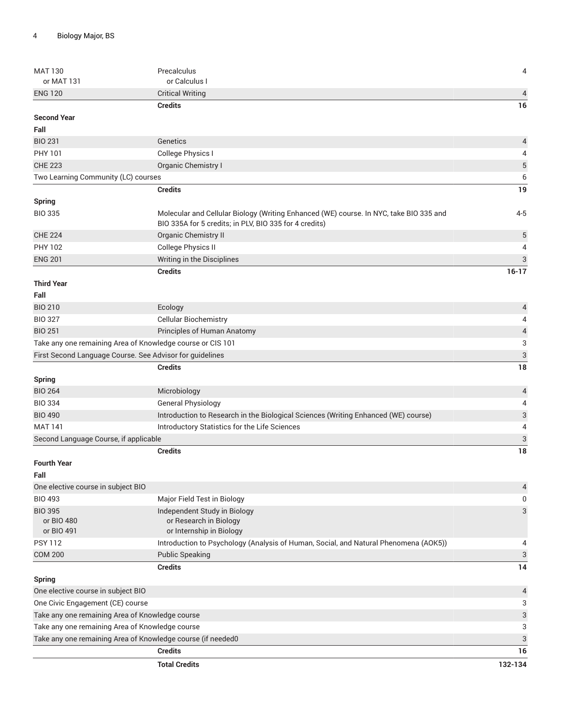| <b>MAT 130</b>                                                                                     | Precalculus                                                                            | 4                         |
|----------------------------------------------------------------------------------------------------|----------------------------------------------------------------------------------------|---------------------------|
| or MAT 131                                                                                         | or Calculus I                                                                          |                           |
| <b>ENG 120</b>                                                                                     | <b>Critical Writing</b>                                                                | $\overline{4}$            |
| <b>Second Year</b>                                                                                 | <b>Credits</b>                                                                         | 16                        |
| Fall                                                                                               |                                                                                        |                           |
| <b>BIO 231</b>                                                                                     | Genetics                                                                               |                           |
| PHY 101                                                                                            | College Physics I                                                                      | $\overline{a}$<br>4       |
| <b>CHE 223</b>                                                                                     | Organic Chemistry I                                                                    | $\sqrt{5}$                |
| Two Learning Community (LC) courses                                                                |                                                                                        | 6                         |
|                                                                                                    | <b>Credits</b>                                                                         | 19                        |
|                                                                                                    |                                                                                        |                           |
| <b>Spring</b><br><b>BIO 335</b>                                                                    | Molecular and Cellular Biology (Writing Enhanced (WE) course. In NYC, take BIO 335 and | $4 - 5$                   |
|                                                                                                    | BIO 335A for 5 credits; in PLV, BIO 335 for 4 credits)                                 |                           |
| <b>CHE 224</b>                                                                                     | Organic Chemistry II                                                                   | 5                         |
| <b>PHY 102</b>                                                                                     | College Physics II                                                                     | 4                         |
| <b>ENG 201</b>                                                                                     | Writing in the Disciplines                                                             | $\sqrt{3}$                |
|                                                                                                    | <b>Credits</b>                                                                         | $16-17$                   |
| <b>Third Year</b>                                                                                  |                                                                                        |                           |
| Fall                                                                                               |                                                                                        |                           |
| <b>BIO 210</b>                                                                                     | Ecology                                                                                | $\overline{4}$            |
| <b>BIO 327</b>                                                                                     | <b>Cellular Biochemistry</b>                                                           | 4                         |
| <b>BIO 251</b>                                                                                     | Principles of Human Anatomy                                                            | $\overline{a}$            |
|                                                                                                    | Take any one remaining Area of Knowledge course or CIS 101                             | $\ensuremath{\mathsf{3}}$ |
|                                                                                                    | First Second Language Course. See Advisor for guidelines                               | $\ensuremath{\mathsf{3}}$ |
|                                                                                                    | <b>Credits</b>                                                                         | 18                        |
| <b>Spring</b>                                                                                      |                                                                                        |                           |
| <b>BIO 264</b>                                                                                     | Microbiology                                                                           | $\overline{a}$            |
| <b>BIO 334</b>                                                                                     | <b>General Physiology</b>                                                              | 4                         |
| <b>BIO 490</b>                                                                                     | Introduction to Research in the Biological Sciences (Writing Enhanced (WE) course)     | $\ensuremath{\mathsf{3}}$ |
| <b>MAT 141</b>                                                                                     | Introductory Statistics for the Life Sciences                                          | 4                         |
| Second Language Course, if applicable                                                              |                                                                                        | $\ensuremath{\mathsf{3}}$ |
|                                                                                                    | <b>Credits</b>                                                                         | 18                        |
| <b>Fourth Year</b>                                                                                 |                                                                                        |                           |
| Fall                                                                                               |                                                                                        |                           |
| One elective course in subject BIO                                                                 |                                                                                        | $\overline{a}$            |
| <b>BIO 493</b>                                                                                     | Major Field Test in Biology                                                            | 0                         |
| <b>BIO 395</b>                                                                                     | Independent Study in Biology                                                           | 3                         |
| or BIO 480                                                                                         | or Research in Biology                                                                 |                           |
| or BIO 491                                                                                         | or Internship in Biology                                                               |                           |
| <b>PSY 112</b>                                                                                     | Introduction to Psychology (Analysis of Human, Social, and Natural Phenomena (AOK5))   | 4                         |
| <b>COM 200</b>                                                                                     | <b>Public Speaking</b>                                                                 | 3                         |
|                                                                                                    | <b>Credits</b>                                                                         | 14                        |
| <b>Spring</b>                                                                                      |                                                                                        |                           |
| One elective course in subject BIO                                                                 |                                                                                        | $\overline{a}$            |
| One Civic Engagement (CE) course                                                                   |                                                                                        | 3                         |
| Take any one remaining Area of Knowledge course<br>Take any one remaining Area of Knowledge course |                                                                                        | 3<br>3                    |
|                                                                                                    | Take any one remaining Area of Knowledge course (if needed0                            | 3                         |
|                                                                                                    | <b>Credits</b>                                                                         | 16                        |
|                                                                                                    |                                                                                        |                           |
|                                                                                                    | <b>Total Credits</b>                                                                   | 132-134                   |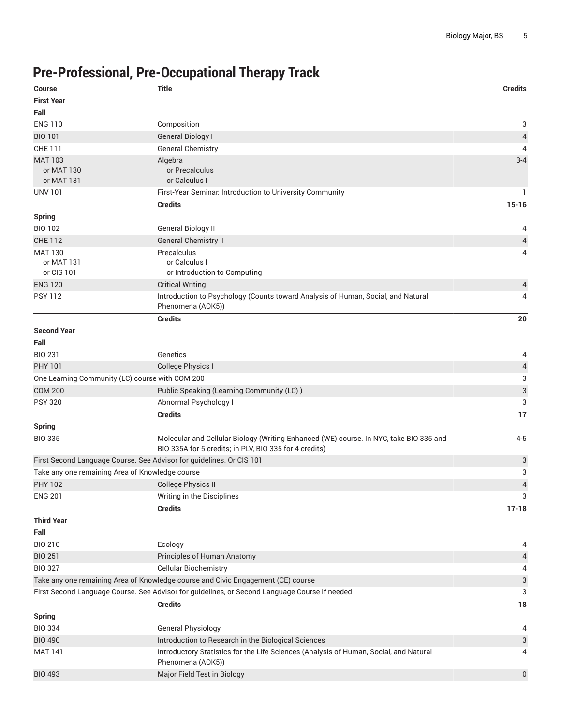### **Pre-Professional, Pre-Occupational Therapy Track**

| <b>Course</b>                                   | <b>Title</b>                                                                                                                                     | <b>Credits</b>            |
|-------------------------------------------------|--------------------------------------------------------------------------------------------------------------------------------------------------|---------------------------|
| <b>First Year</b>                               |                                                                                                                                                  |                           |
| Fall                                            |                                                                                                                                                  |                           |
| <b>ENG 110</b>                                  | Composition                                                                                                                                      | 3                         |
| <b>BIO 101</b>                                  | <b>General Biology I</b>                                                                                                                         | 4                         |
| <b>CHE 111</b>                                  | General Chemistry I                                                                                                                              | 4                         |
| <b>MAT 103</b>                                  | Algebra                                                                                                                                          | $3 - 4$                   |
| or MAT 130                                      | or Precalculus                                                                                                                                   |                           |
| or MAT 131                                      | or Calculus I                                                                                                                                    |                           |
| <b>UNV 101</b>                                  | First-Year Seminar. Introduction to University Community                                                                                         | $\mathbf{1}$              |
|                                                 | <b>Credits</b>                                                                                                                                   | $15 - 16$                 |
| <b>Spring</b>                                   |                                                                                                                                                  |                           |
| <b>BIO 102</b>                                  | General Biology II                                                                                                                               | 4                         |
| <b>CHE 112</b>                                  | <b>General Chemistry II</b>                                                                                                                      | $\overline{4}$            |
| <b>MAT 130</b>                                  | Precalculus                                                                                                                                      | 4                         |
| or MAT 131<br>or CIS 101                        | or Calculus I<br>or Introduction to Computing                                                                                                    |                           |
| <b>ENG 120</b>                                  | <b>Critical Writing</b>                                                                                                                          | 4                         |
| <b>PSY 112</b>                                  | Introduction to Psychology (Counts toward Analysis of Human, Social, and Natural                                                                 | 4                         |
|                                                 | Phenomena (AOK5))                                                                                                                                |                           |
|                                                 | <b>Credits</b>                                                                                                                                   | 20                        |
| <b>Second Year</b>                              |                                                                                                                                                  |                           |
| Fall                                            |                                                                                                                                                  |                           |
| <b>BIO 231</b>                                  | Genetics                                                                                                                                         | 4                         |
| <b>PHY 101</b>                                  | <b>College Physics I</b>                                                                                                                         | $\overline{4}$            |
| One Learning Community (LC) course with COM 200 |                                                                                                                                                  | 3                         |
| <b>COM 200</b>                                  | Public Speaking (Learning Community (LC))                                                                                                        | 3                         |
| <b>PSY 320</b>                                  | Abnormal Psychology I                                                                                                                            | 3                         |
|                                                 | <b>Credits</b>                                                                                                                                   | 17                        |
| <b>Spring</b>                                   |                                                                                                                                                  |                           |
| <b>BIO 335</b>                                  | Molecular and Cellular Biology (Writing Enhanced (WE) course. In NYC, take BIO 335 and<br>BIO 335A for 5 credits; in PLV, BIO 335 for 4 credits) | $4 - 5$                   |
|                                                 | First Second Language Course. See Advisor for guidelines. Or CIS 101                                                                             | 3                         |
| Take any one remaining Area of Knowledge course |                                                                                                                                                  | 3                         |
| <b>PHY 102</b>                                  | <b>College Physics II</b>                                                                                                                        | 4                         |
| <b>ENG 201</b>                                  | Writing in the Disciplines                                                                                                                       | 3                         |
|                                                 | <b>Credits</b>                                                                                                                                   | $17 - 18$                 |
| <b>Third Year</b>                               |                                                                                                                                                  |                           |
| Fall                                            |                                                                                                                                                  |                           |
| <b>BIO 210</b>                                  | Ecology                                                                                                                                          | 4                         |
| <b>BIO 251</b>                                  | Principles of Human Anatomy                                                                                                                      | 4                         |
| <b>BIO 327</b>                                  | <b>Cellular Biochemistry</b>                                                                                                                     | 4                         |
|                                                 | Take any one remaining Area of Knowledge course and Civic Engagement (CE) course                                                                 | $\ensuremath{\mathsf{3}}$ |
|                                                 | First Second Language Course. See Advisor for guidelines, or Second Language Course if needed                                                    | 3                         |
|                                                 | <b>Credits</b>                                                                                                                                   | 18                        |
| <b>Spring</b>                                   |                                                                                                                                                  |                           |
| <b>BIO 334</b>                                  | General Physiology                                                                                                                               | 4                         |
| <b>BIO 490</b>                                  | Introduction to Research in the Biological Sciences                                                                                              | 3                         |
| <b>MAT 141</b>                                  | Introductory Statistics for the Life Sciences (Analysis of Human, Social, and Natural<br>Phenomena (AOK5))                                       | 4                         |
| <b>BIO 493</b>                                  | Major Field Test in Biology                                                                                                                      | 0                         |
|                                                 |                                                                                                                                                  |                           |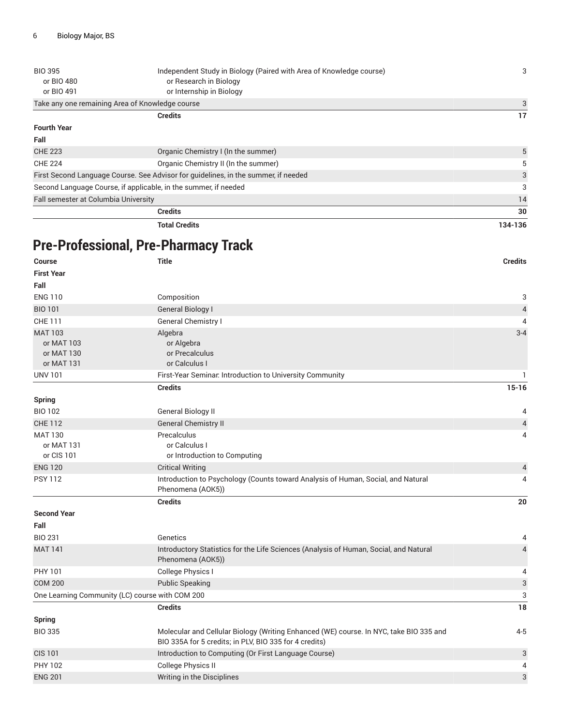| <b>BIO 395</b>                                                  | Independent Study in Biology (Paired with Area of Knowledge course)                | 3       |
|-----------------------------------------------------------------|------------------------------------------------------------------------------------|---------|
| or BIO 480                                                      | or Research in Biology                                                             |         |
| or BIO 491                                                      | or Internship in Biology                                                           |         |
|                                                                 | Take any one remaining Area of Knowledge course                                    |         |
|                                                                 | <b>Credits</b>                                                                     | 17      |
| <b>Fourth Year</b>                                              |                                                                                    |         |
| Fall                                                            |                                                                                    |         |
| <b>CHE 223</b>                                                  | Organic Chemistry I (In the summer)                                                | 5       |
| <b>CHE 224</b>                                                  | Organic Chemistry II (In the summer)                                               | 5       |
|                                                                 | First Second Language Course. See Advisor for guidelines, in the summer, if needed | 3       |
| Second Language Course, if applicable, in the summer, if needed |                                                                                    | 3       |
| Fall semester at Columbia University                            |                                                                                    | 14      |
|                                                                 | <b>Credits</b>                                                                     | 30      |
|                                                                 | <b>Total Credits</b>                                                               | 134-136 |
|                                                                 |                                                                                    |         |
|                                                                 | <b>Pre-Professional, Pre-Pharmacy Track</b>                                        |         |

| <b>Course</b>                                   | <b>Title</b>                                                                                                                                     | <b>Credits</b>            |
|-------------------------------------------------|--------------------------------------------------------------------------------------------------------------------------------------------------|---------------------------|
| <b>First Year</b>                               |                                                                                                                                                  |                           |
| Fall                                            |                                                                                                                                                  |                           |
| <b>ENG 110</b>                                  | Composition                                                                                                                                      | 3                         |
| <b>BIO 101</b>                                  | <b>General Biology I</b>                                                                                                                         | $\sqrt{4}$                |
| <b>CHE 111</b>                                  | General Chemistry I                                                                                                                              | 4                         |
| <b>MAT 103</b>                                  | Algebra                                                                                                                                          | $3 - 4$                   |
| or MAT 103                                      | or Algebra                                                                                                                                       |                           |
| or MAT 130                                      | or Precalculus                                                                                                                                   |                           |
| or MAT 131                                      | or Calculus I                                                                                                                                    |                           |
| <b>UNV 101</b>                                  | First-Year Seminar. Introduction to University Community                                                                                         | $\mathbf{1}$              |
|                                                 | <b>Credits</b>                                                                                                                                   | $15 - 16$                 |
| <b>Spring</b>                                   |                                                                                                                                                  |                           |
| <b>BIO 102</b>                                  | <b>General Biology II</b>                                                                                                                        | 4                         |
| <b>CHE 112</b>                                  | <b>General Chemistry II</b>                                                                                                                      | $\sqrt{4}$                |
| <b>MAT 130</b>                                  | Precalculus                                                                                                                                      | 4                         |
| or MAT 131                                      | or Calculus I                                                                                                                                    |                           |
| or CIS 101                                      | or Introduction to Computing                                                                                                                     |                           |
| <b>ENG 120</b>                                  | <b>Critical Writing</b>                                                                                                                          | $\overline{4}$            |
| <b>PSY 112</b>                                  | Introduction to Psychology (Counts toward Analysis of Human, Social, and Natural<br>Phenomena (AOK5))                                            | 4                         |
|                                                 | <b>Credits</b>                                                                                                                                   | 20                        |
| <b>Second Year</b>                              |                                                                                                                                                  |                           |
| Fall                                            |                                                                                                                                                  |                           |
| <b>BIO 231</b>                                  | Genetics                                                                                                                                         | 4                         |
| <b>MAT 141</b>                                  | Introductory Statistics for the Life Sciences (Analysis of Human, Social, and Natural<br>Phenomena (AOK5))                                       | $\overline{4}$            |
| PHY 101                                         | College Physics I                                                                                                                                | 4                         |
| <b>COM 200</b>                                  | <b>Public Speaking</b>                                                                                                                           | $\ensuremath{\mathsf{3}}$ |
| One Learning Community (LC) course with COM 200 |                                                                                                                                                  | 3                         |
|                                                 | <b>Credits</b>                                                                                                                                   | 18                        |
| <b>Spring</b>                                   |                                                                                                                                                  |                           |
| <b>BIO 335</b>                                  | Molecular and Cellular Biology (Writing Enhanced (WE) course. In NYC, take BIO 335 and<br>BIO 335A for 5 credits; in PLV, BIO 335 for 4 credits) | $4 - 5$                   |
| <b>CIS 101</b>                                  | Introduction to Computing (Or First Language Course)                                                                                             | 3                         |
| <b>PHY 102</b>                                  | <b>College Physics II</b>                                                                                                                        | 4                         |
| <b>ENG 201</b>                                  | Writing in the Disciplines                                                                                                                       | 3                         |
|                                                 |                                                                                                                                                  |                           |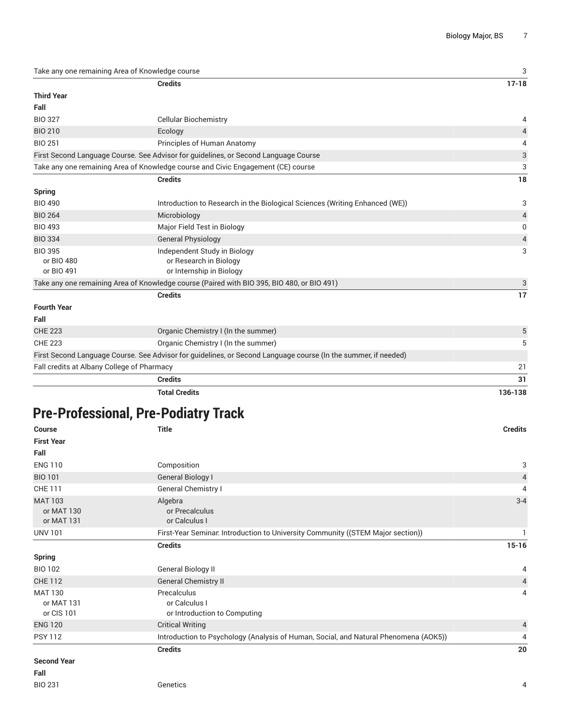Take any one remaining Area of Knowledge course 3

|                                            | <b>Credits</b>                                                                                                 | $17 - 18$      |
|--------------------------------------------|----------------------------------------------------------------------------------------------------------------|----------------|
| <b>Third Year</b>                          |                                                                                                                |                |
| Fall                                       |                                                                                                                |                |
| <b>BIO 327</b>                             | <b>Cellular Biochemistry</b>                                                                                   | 4              |
| <b>BIO 210</b>                             | Ecology                                                                                                        | $\overline{4}$ |
| <b>BIO 251</b>                             | Principles of Human Anatomy                                                                                    | 4              |
|                                            | First Second Language Course. See Advisor for guidelines, or Second Language Course                            | 3              |
|                                            | Take any one remaining Area of Knowledge course and Civic Engagement (CE) course                               | 3              |
|                                            | <b>Credits</b>                                                                                                 | 18             |
| <b>Spring</b>                              |                                                                                                                |                |
| <b>BIO 490</b>                             | Introduction to Research in the Biological Sciences (Writing Enhanced (WE))                                    | 3              |
| <b>BIO 264</b>                             | Microbiology                                                                                                   | $\overline{4}$ |
| <b>BIO 493</b>                             | Major Field Test in Biology                                                                                    | 0              |
| <b>BIO 334</b>                             | <b>General Physiology</b>                                                                                      | 4              |
| <b>BIO 395</b>                             | Independent Study in Biology                                                                                   | 3              |
| or BIO 480                                 | or Research in Biology                                                                                         |                |
| or BIO 491                                 | or Internship in Biology                                                                                       |                |
|                                            | Take any one remaining Area of Knowledge course (Paired with BIO 395, BIO 480, or BIO 491)                     | 3              |
|                                            | <b>Credits</b>                                                                                                 | 17             |
| <b>Fourth Year</b>                         |                                                                                                                |                |
| Fall                                       |                                                                                                                |                |
| <b>CHE 223</b>                             | Organic Chemistry I (In the summer)                                                                            | 5              |
| <b>CHE 223</b>                             | Organic Chemistry I (In the summer)                                                                            | 5              |
|                                            | First Second Language Course. See Advisor for guidelines, or Second Language course (In the summer, if needed) |                |
| Fall credits at Albany College of Pharmacy |                                                                                                                | 21             |
|                                            | <b>Credits</b>                                                                                                 | 31             |
|                                            |                                                                                                                |                |

**Total Credits 136-138**

## **Pre-Professional, Pre-Podiatry Track**

| <b>Course</b>                              | <b>Title</b>                                                                         | <b>Credits</b> |
|--------------------------------------------|--------------------------------------------------------------------------------------|----------------|
| <b>First Year</b>                          |                                                                                      |                |
| Fall                                       |                                                                                      |                |
| <b>ENG 110</b>                             | Composition                                                                          | 3              |
| <b>BIO 101</b>                             | General Biology I                                                                    | $\overline{4}$ |
| <b>CHE 111</b>                             | General Chemistry I                                                                  | 4              |
| <b>MAT 103</b><br>or MAT 130<br>or MAT 131 | Algebra<br>or Precalculus<br>or Calculus I                                           | $3 - 4$        |
| <b>UNV 101</b>                             | First-Year Seminar. Introduction to University Community ((STEM Major section))      |                |
|                                            | <b>Credits</b>                                                                       | $15 - 16$      |
| <b>Spring</b>                              |                                                                                      |                |
| <b>BIO 102</b>                             | General Biology II                                                                   | 4              |
| <b>CHE 112</b>                             | <b>General Chemistry II</b>                                                          | $\overline{4}$ |
| <b>MAT 130</b><br>or MAT 131<br>or CIS 101 | Precalculus<br>or Calculus I<br>or Introduction to Computing                         | 4              |
| <b>ENG 120</b>                             | <b>Critical Writing</b>                                                              | $\overline{4}$ |
| <b>PSY 112</b>                             | Introduction to Psychology (Analysis of Human, Social, and Natural Phenomena (AOK5)) | 4              |
|                                            | <b>Credits</b>                                                                       | 20             |
| <b>Second Year</b>                         |                                                                                      |                |
| Fall                                       |                                                                                      |                |
| <b>BIO 231</b>                             | Genetics                                                                             | 4              |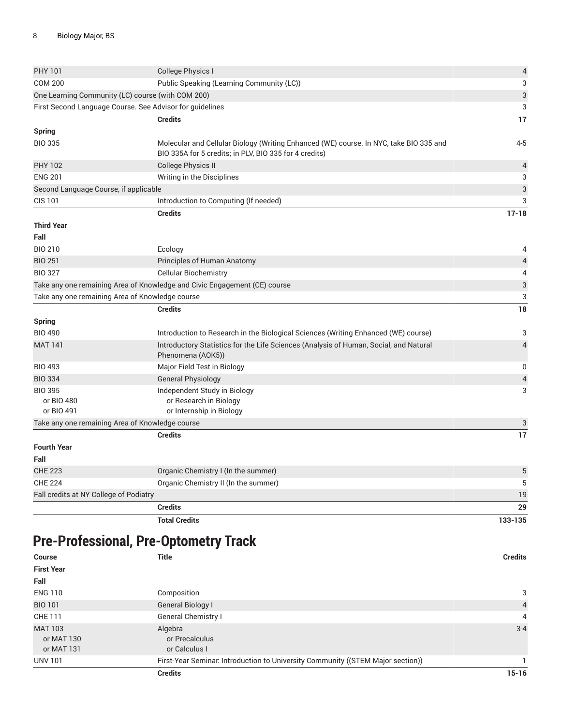|                                                 | <b>Pre-Professional, Pre-Optometry Track</b>                                                                                                     |                           |
|-------------------------------------------------|--------------------------------------------------------------------------------------------------------------------------------------------------|---------------------------|
|                                                 | <b>Total Credits</b>                                                                                                                             | 133-135                   |
|                                                 | <b>Credits</b>                                                                                                                                   | 29                        |
| Fall credits at NY College of Podiatry          |                                                                                                                                                  | 19                        |
| <b>CHE 224</b>                                  | Organic Chemistry II (In the summer)                                                                                                             | 5                         |
| <b>CHE 223</b>                                  | Organic Chemistry I (In the summer)                                                                                                              | 5                         |
| Fall                                            |                                                                                                                                                  |                           |
| <b>Fourth Year</b>                              |                                                                                                                                                  |                           |
|                                                 | <b>Credits</b>                                                                                                                                   | 17                        |
| Take any one remaining Area of Knowledge course |                                                                                                                                                  | 3                         |
| or BIO 480<br>or BIO 491                        | or Research in Biology<br>or Internship in Biology                                                                                               |                           |
| <b>BIO 395</b>                                  | Independent Study in Biology                                                                                                                     | 3                         |
| <b>BIO 334</b>                                  | <b>General Physiology</b>                                                                                                                        | $\overline{a}$            |
| <b>BIO 493</b>                                  | Major Field Test in Biology                                                                                                                      | 0                         |
| <b>MAT 141</b>                                  | Introductory Statistics for the Life Sciences (Analysis of Human, Social, and Natural<br>Phenomena (AOK5))                                       | $\overline{4}$            |
| <b>Spring</b><br><b>BIO 490</b>                 | Introduction to Research in the Biological Sciences (Writing Enhanced (WE) course)                                                               | 3                         |
|                                                 | <b>Credits</b>                                                                                                                                   | 18                        |
| Take any one remaining Area of Knowledge course |                                                                                                                                                  | 3                         |
|                                                 | Take any one remaining Area of Knowledge and Civic Engagement (CE) course                                                                        | $\ensuremath{\mathsf{3}}$ |
| <b>BIO 327</b>                                  | <b>Cellular Biochemistry</b>                                                                                                                     | 4                         |
| <b>BIO 251</b>                                  | Principles of Human Anatomy                                                                                                                      | $\overline{a}$            |
| <b>BIO 210</b>                                  | Ecology                                                                                                                                          | 4                         |
| Fall                                            |                                                                                                                                                  |                           |
| <b>Third Year</b>                               |                                                                                                                                                  |                           |
|                                                 | <b>Credits</b>                                                                                                                                   | $17 - 18$                 |
| <b>CIS 101</b>                                  | Introduction to Computing (If needed)                                                                                                            | 3                         |
| Second Language Course, if applicable           |                                                                                                                                                  | 3                         |
| <b>ENG 201</b>                                  | Writing in the Disciplines                                                                                                                       | 3                         |
| <b>PHY 102</b>                                  | <b>College Physics II</b>                                                                                                                        | 4                         |
| <b>Spring</b><br><b>BIO 335</b>                 | Molecular and Cellular Biology (Writing Enhanced (WE) course. In NYC, take BIO 335 and<br>BIO 335A for 5 credits; in PLV, BIO 335 for 4 credits) | $4 - 5$                   |
|                                                 | <b>Credits</b>                                                                                                                                   | 17                        |
|                                                 | First Second Language Course. See Advisor for guidelines                                                                                         | 3                         |
|                                                 | One Learning Community (LC) course (with COM 200)                                                                                                | 3                         |
| <b>COM 200</b>                                  | Public Speaking (Learning Community (LC))                                                                                                        | 3                         |
| PHY 101                                         | College Physics I                                                                                                                                | $\overline{\mathcal{L}}$  |
|                                                 |                                                                                                                                                  |                           |

|                   | <b>Credits</b>                                                                  | $15 - 16$      |
|-------------------|---------------------------------------------------------------------------------|----------------|
| <b>UNV 101</b>    | First-Year Seminar. Introduction to University Community ((STEM Major section)) |                |
| or MAT 131        | or Calculus I                                                                   |                |
| or MAT 130        | or Precalculus                                                                  |                |
| <b>MAT 103</b>    | Algebra                                                                         | $3 - 4$        |
| CHE 111           | General Chemistry I                                                             | 4              |
| <b>BIO 101</b>    | General Biology I                                                               | $\overline{4}$ |
| <b>ENG 110</b>    | Composition                                                                     | 3              |
| Fall              |                                                                                 |                |
| <b>First Year</b> |                                                                                 |                |
| <b>Course</b>     | <b>Title</b>                                                                    | <b>Credits</b> |
|                   |                                                                                 |                |